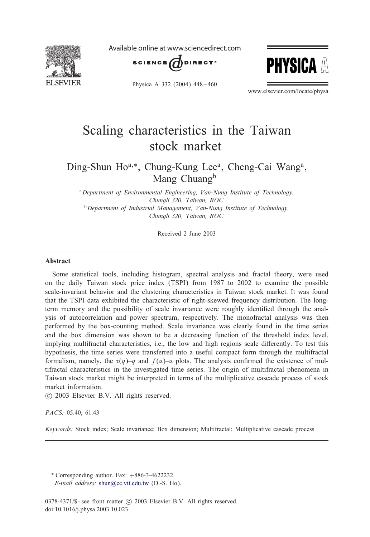

Available online at www.sciencedirect.com





Physica A 332 (2004) 448 – 460

www.elsevier.com/locate/physa

## Scaling characteristics in the Taiwan stock market

### Ding-Shun Ho<sup>a,∗</sup>, Chung-Kung Lee<sup>a</sup>, Cheng-Cai Wang<sup>a</sup>, Mang Chuang<sup>b</sup>

<sup>a</sup>*Department of Environmental Engineering, Van-Nung Institute of Technology, Chungli 320, Taiwan, ROC* <sup>b</sup>*Department of Industrial Management, Van-Nung Institute of Technology, Chungli 320, Taiwan, ROC*

Received 2 June 2003

#### Abstract

Some statistical tools, including histogram, spectral analysis and fractal theory, were used on the daily Taiwan stock price index (TSPI) from 1987 to 2002 to examine the possible scale-invariant behavior and the clustering characteristics in Taiwan stock market. It was found that the TSPI data exhibited the characteristic of right-skewed frequency distribution. The longterm memory and the possibility of scale invariance were roughly identified through the analysis of autocorrelation and power spectrum, respectively. The monofractal analysis was then performed by the box-counting method. Scale invariance was clearly found in the time series and the box dimension was shown to be a decreasing function of the threshold index level, implying multifractal characteristics, i.e., the low and high regions scale differently. To test this hypothesis, the time series were transferred into a useful compact form through the multifractal formalism, namely, the  $\tau(q)$ –q and  $f(\alpha)$ – $\alpha$  plots. The analysis confirmed the existence of multifractal characteristics in the investigated time series. The origin of multifractal phenomena in Taiwan stock market might be interpreted in terms of the multiplicative cascade process of stock market information.

-c 2003 Elsevier B.V. All rights reserved.

#### *PACS:* 05.40; 61.43

*Keywords:* Stock index; Scale invariance; Box dimension; Multifractal; Multiplicative cascade process

<sup>∗</sup> Corresponding author. Fax: +886-3-4622232. *E-mail address:* [shun@cc.vit.edu.tw](mailto:shun@cc.vit.edu.tw) (D.-S. Ho).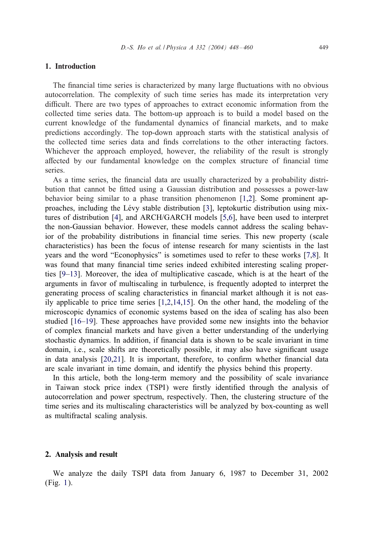#### 1. Introduction

The financial time series is characterized by many large fluctuations with no obvious autocorrelation. The complexity of such time series has made its interpretation very difficult. There are two types of approaches to extract economic information from the collected time series data. The bottom-up approach is to build a model based on the current knowledge of the fundamental dynamics of financial markets, and to make predictions accordingly. The top-down approach starts with the statistical analysis of the collected time series data and finds correlations to the other interacting factors. Whichever the approach employed, however, the reliability of the result is strongly affected by our fundamental knowledge on the complex structure of financial time series.

As a time series, the financial data are usually characterized by a probability distribution that cannot be fitted using a Gaussian distribution and possesses a power-law behavior being similar to a phase transition phenomenon [\[1,2\]](#page--1-0). Some prominent approaches, including the Lévy stable distribution  $[3]$ , leptokurtic distribution using mixtures of distribution [\[4\]](#page--1-0), and ARCH/GARCH models [\[5,6\]](#page--1-0), have been used to interpret the non-Gaussian behavior. However, these models cannot address the scaling behavior of the probability distributions in financial time series. This new property (scale characteristics) has been the focus of intense research for many scientists in the last years and the word "Econophysics" is sometimes used to refer to these works [\[7,8\]](#page--1-0). It was found that many financial time series indeed exhibited interesting scaling properties [\[9–13\]](#page--1-0). Moreover, the idea of multiplicative cascade, which is at the heart of the arguments in favor of multiscaling in turbulence, is frequently adopted to interpret the generating process of scaling characteristics in financial market although it is not easily applicable to price time series [\[1,2,14,15\]](#page--1-0). On the other hand, the modeling of the microscopic dynamics of economic systems based on the idea of scaling has also been studied [\[16–19\]](#page--1-0). These approaches have provided some new insights into the behavior of complex 7nancial markets and have given a better understanding of the underlying stochastic dynamics. In addition, if financial data is shown to be scale invariant in time domain, i.e., scale shifts are theoretically possible, it may also have significant usage in data analysis  $[20,21]$ . It is important, therefore, to confirm whether financial data are scale invariant in time domain, and identify the physics behind this property.

In this article, both the long-term memory and the possibility of scale invariance in Taiwan stock price index (TSPI) were firstly identified through the analysis of autocorrelation and power spectrum, respectively. Then, the clustering structure of the time series and its multiscaling characteristics will be analyzed by box-counting as well as multifractal scaling analysis.

#### 2. Analysis and result

We analyze the daily TSPI data from January 6, 1987 to December 31, 2002 (Fig. [1\)](#page--1-0).